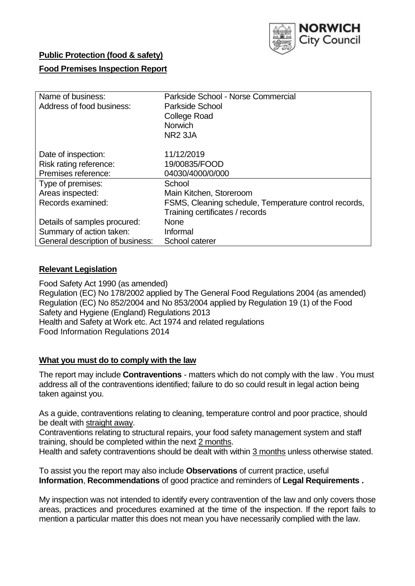

# **Public Protection (food & safety)**

## **Food Premises Inspection Report**

| Name of business:<br>Address of food business: | Parkside School - Norse Commercial<br>Parkside School<br><b>College Road</b><br><b>Norwich</b><br>NR <sub>2</sub> 3JA |
|------------------------------------------------|-----------------------------------------------------------------------------------------------------------------------|
| Date of inspection:                            | 11/12/2019                                                                                                            |
| Risk rating reference:                         | 19/00835/FOOD                                                                                                         |
| Premises reference:                            | 04030/4000/0/000                                                                                                      |
| Type of premises:                              | School                                                                                                                |
| Areas inspected:                               | Main Kitchen, Storeroom                                                                                               |
| Records examined:                              | FSMS, Cleaning schedule, Temperature control records,                                                                 |
|                                                | Training certificates / records                                                                                       |
| Details of samples procured:                   | <b>None</b>                                                                                                           |
| Summary of action taken:                       | Informal                                                                                                              |
| General description of business:               | School caterer                                                                                                        |

### **Relevant Legislation**

Food Safety Act 1990 (as amended) Regulation (EC) No 178/2002 applied by The General Food Regulations 2004 (as amended) Regulation (EC) No 852/2004 and No 853/2004 applied by Regulation 19 (1) of the Food Safety and Hygiene (England) Regulations 2013 Health and Safety at Work etc. Act 1974 and related regulations Food Information Regulations 2014

#### **What you must do to comply with the law**

The report may include **Contraventions** - matters which do not comply with the law . You must address all of the contraventions identified; failure to do so could result in legal action being taken against you.

As a guide, contraventions relating to cleaning, temperature control and poor practice, should be dealt with straight away.

Contraventions relating to structural repairs, your food safety management system and staff training, should be completed within the next 2 months.

Health and safety contraventions should be dealt with within 3 months unless otherwise stated.

To assist you the report may also include **Observations** of current practice, useful **Information**, **Recommendations** of good practice and reminders of **Legal Requirements .**

My inspection was not intended to identify every contravention of the law and only covers those areas, practices and procedures examined at the time of the inspection. If the report fails to mention a particular matter this does not mean you have necessarily complied with the law.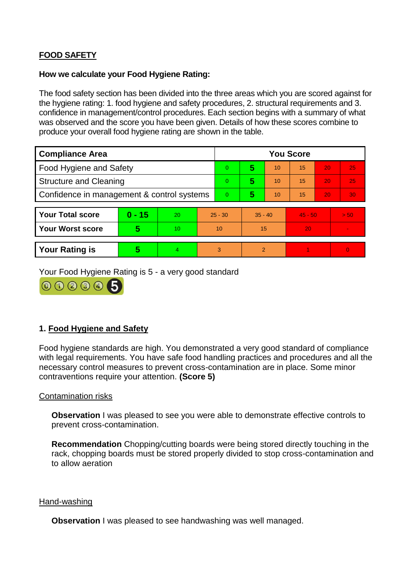# **FOOD SAFETY**

### **How we calculate your Food Hygiene Rating:**

The food safety section has been divided into the three areas which you are scored against for the hygiene rating: 1. food hygiene and safety procedures, 2. structural requirements and 3. confidence in management/control procedures. Each section begins with a summary of what was observed and the score you have been given. Details of how these scores combine to produce your overall food hygiene rating are shown in the table.

| <b>Compliance Area</b>                     |          |    |                | <b>You Score</b> |           |                |           |    |                |  |  |
|--------------------------------------------|----------|----|----------------|------------------|-----------|----------------|-----------|----|----------------|--|--|
| Food Hygiene and Safety                    |          |    | $\overline{0}$ | 5                | 10        | 15             | 20        | 25 |                |  |  |
| <b>Structure and Cleaning</b>              |          |    | $\Omega$       | 5                | 10        | 15             | 20        | 25 |                |  |  |
| Confidence in management & control systems |          |    | $\Omega$       | 5                | 10        | 15             | 20        | 30 |                |  |  |
|                                            |          |    |                |                  |           |                |           |    |                |  |  |
| <b>Your Total score</b>                    | $0 - 15$ | 20 | $25 - 30$      |                  | $35 - 40$ |                | $45 - 50$ |    | > 50           |  |  |
| <b>Your Worst score</b>                    | 5        | 10 |                | 10               |           | 15             | 20        |    | $\blacksquare$ |  |  |
|                                            |          |    |                |                  |           |                |           |    |                |  |  |
| <b>Your Rating is</b>                      | 5        | 4  |                | 3                |           | $\overline{2}$ |           |    | $\Omega$       |  |  |

Your Food Hygiene Rating is 5 - a very good standard



# **1. Food Hygiene and Safety**

Food hygiene standards are high. You demonstrated a very good standard of compliance with legal requirements. You have safe food handling practices and procedures and all the necessary control measures to prevent cross-contamination are in place. Some minor contraventions require your attention. **(Score 5)**

### Contamination risks

**Observation** I was pleased to see you were able to demonstrate effective controls to prevent cross-contamination.

**Recommendation** Chopping/cutting boards were being stored directly touching in the rack, chopping boards must be stored properly divided to stop cross-contamination and to allow aeration

#### Hand-washing

**Observation** I was pleased to see handwashing was well managed.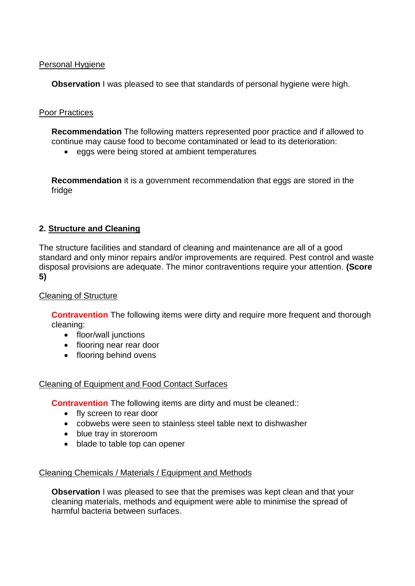### Personal Hygiene

**Observation** I was pleased to see that standards of personal hygiene were high.

# Poor Practices

**Recommendation** The following matters represented poor practice and if allowed to continue may cause food to become contaminated or lead to its deterioration:

eggs were being stored at ambient temperatures

**Recommendation** it is a government recommendation that eggs are stored in the fridge

# **2. Structure and Cleaning**

The structure facilities and standard of cleaning and maintenance are all of a good standard and only minor repairs and/or improvements are required. Pest control and waste disposal provisions are adequate. The minor contraventions require your attention. **(Score 5)**

### Cleaning of Structure

**Contravention** The following items were dirty and require more frequent and thorough cleaning:

- floor/wall junctions
- flooring near rear door
- flooring behind ovens

### Cleaning of Equipment and Food Contact Surfaces

**Contravention** The following items are dirty and must be cleaned::

- fly screen to rear door
- cobwebs were seen to stainless steel table next to dishwasher
- blue tray in storeroom
- blade to table top can opener

### Cleaning Chemicals / Materials / Equipment and Methods

**Observation** I was pleased to see that the premises was kept clean and that your cleaning materials, methods and equipment were able to minimise the spread of harmful bacteria between surfaces.